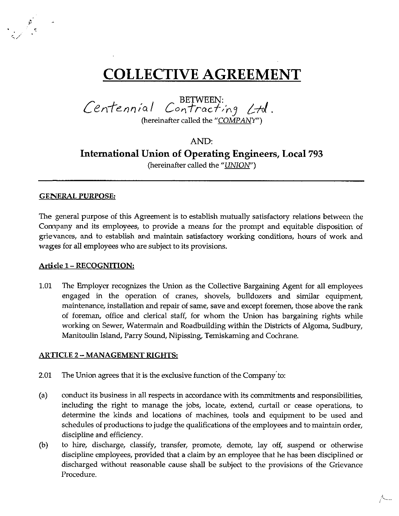# **COLLECTIVE AGREEMENT**

Centennial Contracting Ltd. (hereinafter called the "COMPANY")

# AND: **International Union of Operating Engineers, Local** 793 (hereinafter called the *"UNION")*

#### GENERAL PURPOSE:

' / "

The general purpose of this Agreement is to establish mutually satisfactory relations between the Company and its employees, to provide a means for the prompt and equitable disposition of grievances, and to establish and maintain satisfactory working conditions, hours of work and wages for all employees who are subject to its provisions.

#### Article 1- RECOGNITION:

1.01 The Employer recognizes the Union as the Collective Bargaining Agent for all employees engaged in the operation of cranes, shovels, bulldozers and similar equipment, maintenance, installation and repair of same, save and except foremen, those above the rank of foreman, office and clerical staff, for whom the Union has bargaining rights while working on Sewer, Watermain and Roadbuilding within the Districts of Algoma, Sudbury, Manitoulin Island, Parry Sound, Nipissing, Temiskaming and Cochrane.

#### ARTICLE 2 - MANAGEMENT RIGHTS:

- 2.01 The Union agrees that it is the exclusive function of the Company' to:
- (a) conduct its business in all respects in accordance with its commitments and responsibilities, including the right to manage the jobs, locate, extend, curtail or cease operations, to determine the kinds and locations of machines, tools and equipment to be used and schedules of productions to judge the qualifications of the employees and to maintain order, discipline and efficiency.
- (b) to hire, discharge, classify, transfer, promote, demote, lay off, suspend or otherwise discipline employees, provided that a claim by an employee that he has been disciplined or discharged without reasonable cause shall be subject to the provisions of the Grievance Procedure.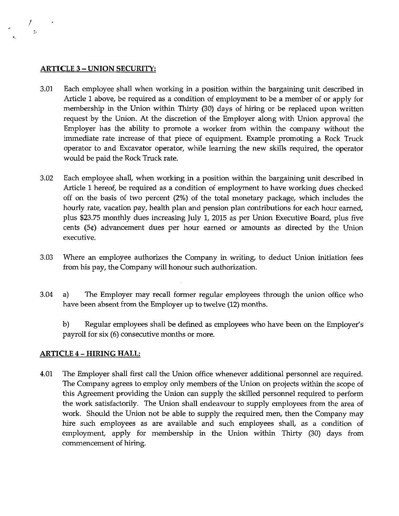#### **ARTICLE 3- UNION SECURITY:**

!

- 3.01 Each employee shall when working in a position within the bargaining unit described in Article 1 above, be required as a condition of employment to be a member of or apply for membership in the Union within Thirty (30) days of hiring or be replaced upon written request by the Union. At the discretion of the Employer along with Union approval the Employer has the ability to promote a worker from within the company without the immediate rate increase of that piece of equipment. Example promoting a Rock Truck operator to and Excavator operator, while learning the new skills required, the operator would be paid the Rock Truck rate.
- 3.02 Each employee shall, when working in a position within the bargaining unit described in Article 1 hereof, be required as a condition of employment to have working dues checked off on the basis of two percent (2%) of the total monetary package, which includes the hourly rate, vacation pay, health plan and pension plan contributions for each hour earned, plus \$23.75 monthly dues increasing July 1, 2015 as per Union Executive Board, plus five cents (5¢) advancement dues per hour earned or amounts as directed by the Union executive.
- 3.03 Where an employee authorizes the Company in writing, to deduct Union initiation fees from his pay, the Company will honour such authorization.
- 3.04 a) The Employer may recall former regular employees through the union office who have been absent from the Employer up to twelve (12) months.

b) Regular employees shall be defined as employees who have been on the Employer's payroll for six (6) consecutive months or more.

# **ARTICLE 4- HIRING HALL:**

4.01 The Employer shall first call the Union office whenever additional personnel are required. The Company agrees to employ only members of the Union on projects within the scope of this Agreement providing the Union can supply the skilled personnel required to perform the work satisfactorily. The Union shall endeavour to supply employees from the area of work. Should the Union not be able to supply the required men, then the Company may hire such employees as are available and such employees shall, as a condition of employment, apply for membership in the Union within Thirty (30) days from commencement of hiring.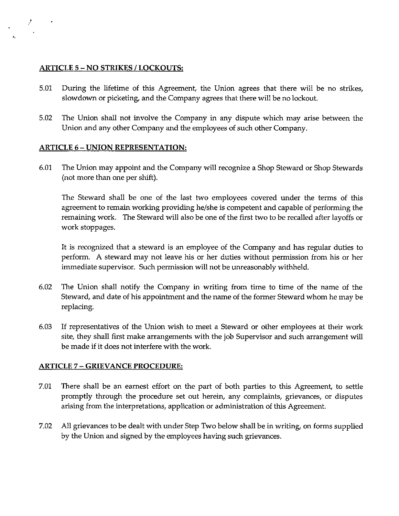#### **ARTICLE** 5 - **NO STRIKES I LOCKOUTS:**

 $\sim 10^{10}$ 

- 5.01 During the lifetime of this Agreement, the Union agrees that there will be no strikes, slowdown or picketing, and the Company agrees that there will be no lockout.
- 5.02 The Union shall not involve the Company in any dispute which may arise between the Union and any other Company and the employees of such other Company.

# **ARTICLE 6- UNION REPRESENTATION:**

6.01 The Union may appoint and the Company will recognize a Shop Steward or Shop Stewards (not more than one per shift).

The Steward shall be one of the last two employees covered under the terms of this agreement to remain working providing he/she is competent and capable of performing the remaining work. The Steward will also be one of the first two to be recalled after layoffs or work stoppages.

It is recognized that a steward is an employee of the Company and has regular duties to perform. A steward may not leave his or her duties without permission from his or her immediate supervisor. Such permission will not be unreasonably withheld.

- 6.02 The Union shall notify the Company in writing from time to time of the name of the Steward, and date of his appointment and the name of the former Steward whom he may be replacing.
- 6.03 If representatives of the Union wish to meet a Steward or other employees at their work site, they shall first make arrangements with the job Supervisor and such arrangement will be made if it does not interfere with the work.

#### **ARTICLE** 7 - **GRIEVANCE PROCEDURE:**

- 7.01 There shall be an earnest effort on the part of both parties to this Agreement, to settle promptly through the procedure set out herein, any complaints, grievances, or disputes arising from the interpretations, application or administration of this Agreement.
- 7.02 All grievances to be dealt with under Step Two below shall be in writing, on forms supplied by the Union and signed by the employees having such grievances.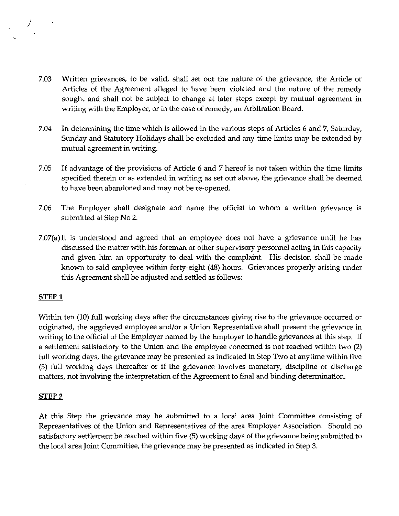- 7.03 Written grievances, to be valid, shall set out the nature of the grievance, the Article or Articles of the Agreement alleged to have been violated and the nature of the remedy sought and shall not be subject to change at later steps except by mutual agreement in writing with the Employer, or in the case of remedy, an Arbitration Board.
- 7.04 In determining the time which is allowed in the various steps of Articles 6 and 7, Saturday, Sunday and Statutory Holidays shall be excluded and any time limits may be extended by mutual agreement in writing.
- 7.05 If advantage of the provisions of Article 6 and 7 hereof is not taken within the time limits specified therein or as extended in writing as set out above, the grievance shall be deemed to have been abandoned and may not be re-opened.
- 7.06 The Employer shall designate and name the official to whom a written grievance is submitted at Step No 2.
- 7.07(a)It is understood and agreed that an employee does not have a grievance until he has discussed the matter with his foreman or other supervisory personnel acting in this capacity and given him an opportunity to deal with the complaint. His decision shall be made known to said employee within forty-eight (48) hours. Grievances properly arising under this Agreement shall be adjusted and settled as follows:

# **STEPl**

Within ten (10) full working days after the circumstances giving rise to the grievance occurred or originated, the aggrieved employee and/or a Union Representative shall present the grievance in writing to the official of the Employer named by the Employer to handle grievances at this step. If a settlement satisfactory to the Union and the employee concerned is not reached within two (2} full working days, the grievance may be presented as indicated in Step Two at anytime within five (5) full working days thereafter or if the grievance involves monetary, discipline or discharge matters, not involving the interpretation of the Agreement to final and binding determination.

#### **STEP2**

At this Step the grievance may be submitted to a local area Joint Committee consisting of Representatives of the Union and Representatives of the area Employer Association. Should no satisfactory settlement be reached within five (5) working days of the grievance being submitted to the local area Joint Committee, the grievance may be presented as indicated in Step 3.

 $\sim 10^{-10}$ f J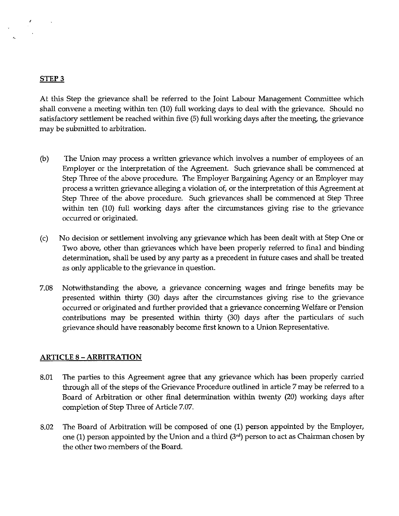#### **STEP3**

 $\sim 10$ 

At this Step the grievance shall be referred to the Joint Labour Management Committee which shall convene a meeting within ten (10) full working days to deal with the grievance. Should no satisfactory settlement be reached within five (5) full working days after the meeting, the grievance may be submitted to arbitration.

- (b) The Union may process a written grievance which involves a number of employees of an Employer or the interpretation of the Agreement. Such grievance shall be commenced at Step Three of the above procedure. The Employer Bargaining Agency or an Employer may process a written grievance alleging a violation of, or the interpretation of this Agreement at Step Three of the above procedure. Such grievances shall be commenced at Step Three within ten (10) full working days after the circumstances giving rise to the grievance occurred or originated.
- (c) No decision or settlement involving any grievance which has been dealt with at Step One or Two above, other than grievances which have been properly referred to final and binding determination, shall be used by any party as a precedent in future cases and shall be treated as only applicable to the grievance in question.
- 7.08 Notwithstanding the above, a grievance concerning wages and fringe benefits may be presented within thirty (30) days after the circumstances giving rise to the grievance occurred or originated and further provided that a grievance concerning Welfare or Pension contributions may be presented within thirty (30) days after the particulars of such grievance should have reasonably become first known to a Union Representative.

# **ARTICLE** 8 - **ARBITRATION**

- 8.01 The parties to this Agreement agree that any grievance which has been properly carried through all of the steps of the Grievance Procedure outlined in article 7 may be referred to a Board of Arbitration or other final determination within twenty (20) working days after completion of Step Three of Article 7.07.
- 8.02 The Board of Arbitration will be composed of one (1) person appointed by the Employer, one (1) person appointed by the Union and a third (3'd) person to act as Chairman chosen by the other two members of the Board.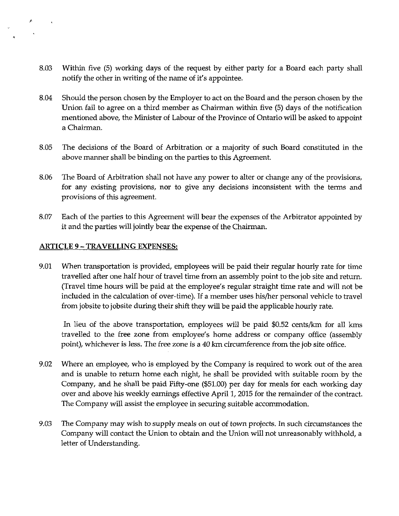- 8.03 Within five (5) working days of the request by either party for a Board each party shall notify the other in writing of the name of it's appointee.
- 8.04 Should the person chosen by the Employer to act on the Board and the person chosen by the Union fail to agree on a third member as Chairman within five (5) days of the notification mentioned above, the Minister of Labour of the Province of Ontario will be asked to appoint a Chairman.
- 8.05 The decisions of the Board of Arbitration or a majority of such Board constituted in the above manner shall be binding on the parties to this Agreement.
- 8.06 The Board of Arbitration shall not have any power to alter or change any of the provisions, for any existing provisions, nor to give any decisions inconsistent with the terms and provisions of this agreement.
- 8.07 Each of the parties to this Agreement will bear the expenses of the Arbitrator appointed by it and the parties will jointly bear the expense of the Chairman.

#### **ARTICLE 9 - TRAVELLING EXPENSES:**

 $\mathbf{A}$ 

 $\sim$ 

9.01 When transportation is provided, employees will be paid their regular hourly rate for time travelled after one half hour of travel time from an assembly point to the job site and return. (Travel time hours will be paid at the employee's regular straight time rate and will not be included in the calculation of over-time). If a member uses his/her personal vehicle to travel from jobsite to jobsite during their shift they will be paid the applicable hourly rate.

In lieu of the above transportation, employees will be paid \$0.52 cents/km for all kms travelled to the free zone from employee's home address or company office (assembly point), whichever is less. The free zone is a 40 km circumference from the job site office.

- 9.02 Where an employee, who is employed by the Company is required to work out of the area and is unable to return home each night, he shall be provided with suitable room by the Company, and he shall be paid Fifty-one (\$51.00) per day for meals for each working day over and above his weekly earnings effective April 1, 2015 for the remainder of the contract. The Company will assist the employee in securing suitable accommodation.
- 9.03 The Company may wish to supply meals on out of town projects. In such circumstances the Company will contact the Union to obtain and the Union will not unreasonably withhold, a letter of Understanding.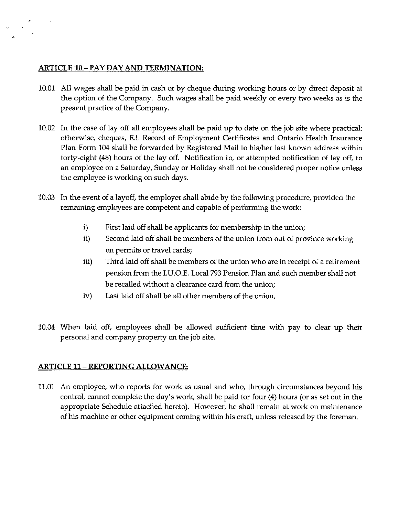### **ARTICLE 10-PAY DAY AND TERMINATION:**

'·

 $\sim 10^{-11}$ 

- 10.01 All wages shall be paid in cash or by cheque during working hours or by direct deposit at the option of the Company. Such wages shall be paid weekly or every two weeks as is the present practice of the Company.
- 10.02 In the case of lay off all employees shall be paid up to date on the job site where practical: otherwise, cheques, E.I. Record of Employment Certificates and Ontario Health Insurance Plan Form 104 shall be forwarded by Registered Mail to his/her last known address within forty-eight (48) hours of the lay off. Notification to, or attempted notification of lay off, to an employee on a Saturday, Sunday or Holiday shall not be considered proper notice unless the employee is working on such days.
- 10.03 In the event of a layoff, the employer shall abide by the following procedure, provided the remaining employees are competent and capable of performing the work:
	- i) First laid off shall be applicants for membership in the union;
	- ii) Second laid off shall be members of the union from out of province working on permits or travel cards;
	- iii) Third laid off shall be members of the union who are in receipt of a retirement pension from the I.U.O.E. Local 793 Pension Plan and such member shall not be recalled without a clearance card from the union;
	- iv) Last laid off shall be all other members of the union.
- 10.04 When laid off, employees shall be allowed sufficient time with pay to clear up their personal and company property on the job site.

# **ARTICLE 11- REPORTING ALLOWANCE:**

11.01 An employee, who reports for work as usual and who, through circumstances beyond his control, cannot complete the day's work, shall be paid for four (4) hours (or as set out in the appropriate Schedule attached hereto). However, he shall remain at work on maintenance of his machine or other equipment coming within his craft, unless released by the foreman.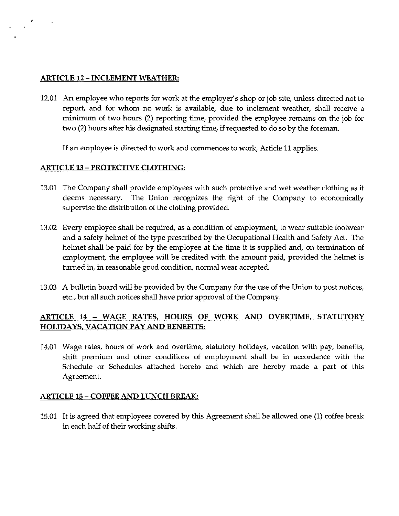#### **ARTICLE 12- INCLEMENT WEATHER:**

 $\sim$   $\sim$ 

12.01 An employee who reports for work at the employer's shop or job site, unless directed not to report, and for whom no work is available, due to inclement weather, shall receive a minimum of two hours (2) reporting time, provided the employee remains on the job for two (2) hours after his designated starting time, if requested to do so by the foreman.

If an employee is directed to work and commences to work, Article 11 applies.

#### **ARTICLE 13 - PROTECTIVE CLOTHING:**

- 13.01 The Company shall provide employees with such protective and wet weather clothing as it deems necessary. The Union recognizes the right of the Company to economically supervise the distribution of the clothing provided.
- 13.02 Every employee shall be required, as a condition of employment, to wear suitable footwear and a safety helmet of the type prescribed by the Occupational Health and Safety Act. The helmet shall be paid for by the employee at the time it is supplied and, on termination of employment, the employee will be credited with the amount paid, provided the helmet is turned in, in reasonable good condition, normal wear accepted.
- 13.03 A bulletin board will be provided by the Company for the use of the Union to post notices, etc., **but** all such notices shall have prior approval of the Company.

# **ARTICLE 14 - WAGE RATES, HOURS OF WORK AND OVERTIME. STATUTORY HOLIDAYS, VACATION PAY AND BENEFITS:**

14.01 Wage rates, hours of work and overtime, statutory holidays, vacation with pay, benefits, shift premium and other conditions of employment shall be in accordance with the Schedule or Schedules attached hereto and which are hereby made a part of this Agreement.

#### **ARTICLE 15 - COFFEE AND LUNCH BREAK:**

15.01 It is agreed that employees covered by this Agreement shall be allowed one (1) coffee break in each half of their working shifts.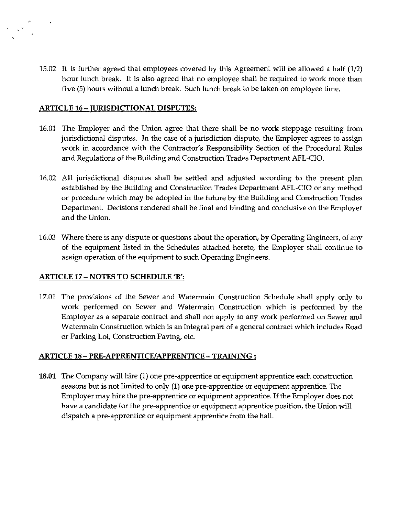15.02 It is further agreed that employees covered by this Agreement will be allowed a half (1/2) hour lunch break. It is also agreed that no employee shall be required to work more than five (5) hours without a lunch break. Such lunch break to be taken on employee time.

#### **ARTICLE** 16- **JURISDICTIONAL DISPUTES:**

 $\theta_{\rm{max}}=0$ 

- 16.01 The Employer and the Union agree that there shall be no work stoppage resulting from jurisdictional disputes. In the case of a jurisdiction dispute, the Employer agrees to assign work in accordance with the Contractor's Responsibility Section of the Procedural Rules and Regulations of the Building and Construction Trades Department AFL-CIO.
- 16.02 All jurisdictional disputes shall be settled and adjusted according to the present plan established by the Building and Construction Trades Department AFL-CIO or any method or procedure which may be adopted in the future by the Building and Construction Trades Department. Decisions rendered shall be final and binding and conclusive on the Employer and the Union.
- 16.03 Where there is any dispute or questions about the operation, by Operating Engineers, of any of the equipment listed in the Schedules attached hereto, the Employer shall continue to assign operation of the equipment to such Operating Engineers.

# **ARTICLE 17 - NOTES TO SCHEDULE 'B':**

17.01 The provisions of the Sewer and Watermain Construction Schedule shall apply only to work performed on Sewer and Watermain Construction which is performed by the Employer as a separate contract and shall not apply to any work performed on Sewer and Watermain Construction which is an integral part of a general contract which includes Road or Parking Lot, Construction Paving, etc.

# **ARTICLE** 18- **PRE-APPRENTICE/APPRENTICE - TRAINING** :

**18.01** The Company will hire (1) one pre-apprentice or equipment apprentice each construction seasons but is not limited to only (1) one pre-apprentice or equipment apprentice. The Employer may hire the pre-apprentice or equipment apprentice. If the Employer does not have a candidate for the pre-apprentice or equipment apprentice position, the Union will dispatch a pre-apprentice or equipment apprentice from the hall.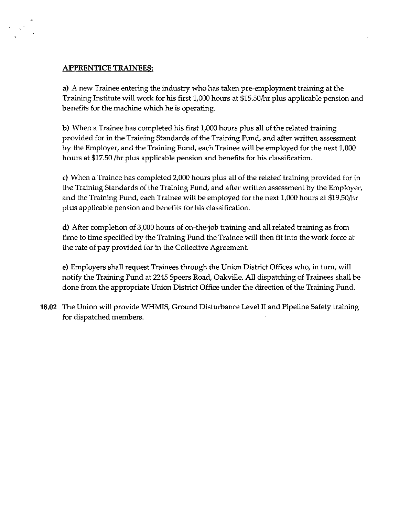#### **APPRENTICE TRAINEES:**

 $\mathbb{R}^2$ 

a) A new Trainee entering the industry who has taken pre-employment training at the Training Institute will work for his first 1,000 hours at \$15.50/hr plus applicable pension and benefits for the machine which he is operating.

**b)** When a Trainee has completed his first 1,000 hours plus all of the related training provided for in the Training Standards of the Training Fund, and after written assessment by the Employer, and the Training Fund, each Trainee will be employed for the next 1,000 hours at \$17.50 /hr plus applicable pension and benefits for his classification.

c) When a Trainee has completed 2,000 hours plus all of the related training provided for in the Training Standards of the Training Fund, and after written assessment by the Employer, and the Training Fund, each Trainee will be employed for the next 1,000 hours at \$19.50/hr plus applicable pension and benefits for his classification.

**d)** After completion of 3,000 hours of on-the-job training and all related training as from time to time specified by the Training Fund the Trainee will then fit into the work force at the rate of pay provided for in the Collective Agreement.

e) Employers shall request Trainees through the Union District Offices who, in turn, will notify the Training Fund at 2245 Speers Road, Oakville. All dispatching of Trainees shall be done from the appropriate Union District Office under the direction of the Training Fund.

**18.02** The Union will provide WHMIS, Ground Disturbance Level II and Pipeline Safety training for dispatched members.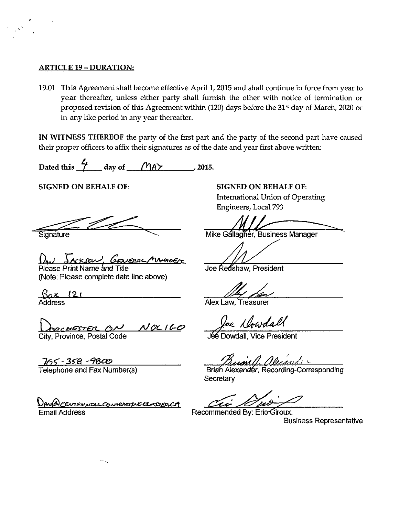#### ARTICLE 19- DURATION:

'·

19.01 This Agreement shall become effective April 1, 2015 and shall continue in force from year to year thereafter, unless either party shall furnish the other with notice of termination or proposed revision of this Agreement within (120) days before the 31<sup>st</sup> day of March, 2020 or in any like period in any year thereafter.

IN WITNESS THEREOF the party of the first part and the party of the second part have caused their proper officers to affix their signatures as of the date and year first above written:

Dated this  $\frac{L}{L}$  day of  $\bigcap_{A}\uparrow$  2015.

SIGNED ON BEHALF OF:

Signature

Jackson, Gewerse, MMACFr

Please Print Name and Title (Note: Please complete date line above)

*Bax. 12..t*  Address

Dosco<del>rester</del> an Noc160

City, Province, Postal Code

<u>\_J65 -358 -9800</u><br>Telephone and Fax Number(s)

DAN@CENTENNIALCONTERETIVECINIED.CA Email Address

SIGNED ON BEHALF OF: International Union of Operating Engineers, Local 793

Mike Gallagher, Business Manager

Joe Redshaw, President

Alex Law, Treasurer

Jae Dowdall

**Jee Dowdall, Vice President** 

*Dunan (J. Allmandi* Superiori)<br>Brian Alexander, Recording-Corresponding Secretary

cii como

Recommended By: Eric Giroux,

Business Representative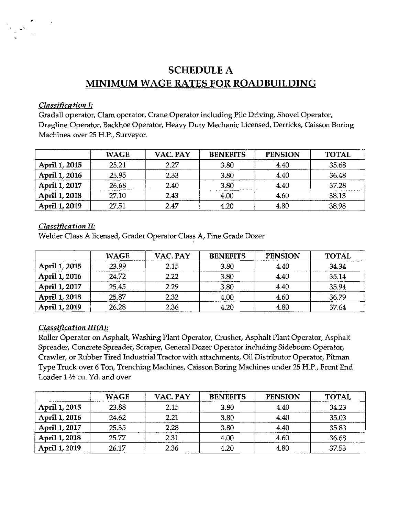# **SCHEDULE** A **MINIMUM WAGE RATES FOR ROADBUILDING**

#### *Classification I:*

Gradall operator, Clam operator, Crane Operator including Pile Driving, Shovel Operator, Dragline Operator, Backhoe Operator, Heavy Duty Mechanic Licensed, Derricks, Caisson Boring Machines over 25 H.P., Surveyor.

|               | <b>WAGE</b> | VAC. PAY | <b>BENEFITS</b> | <b>PENSION</b> | <b>TOTAL</b> |
|---------------|-------------|----------|-----------------|----------------|--------------|
| April 1, 2015 | 25.21       | 2.27     | 3.80            | 4.40           | 35.68        |
| April 1, 2016 | 25.95       | 2.33     | 3.80            | 4.40           | 36.48        |
| April 1, 2017 | 26.68       | 2.40     | 3.80            | 4.40           | 37.28        |
| April 1, 2018 | 27.10       | 2.43     | 4.00            | 4.60           | 38.13        |
| April 1, 2019 | 27.51       | 2.47     | 4.20            | 4.80           | 38.98        |

#### *Classification II:*

Welder Class A licensed, Grader Operator Class A, Fine Grade Dozer

|               | <b>WAGE</b> | VAC. PAY | <b>BENEFITS</b> | <b>PENSION</b> | <b>TOTAL</b> |
|---------------|-------------|----------|-----------------|----------------|--------------|
| April 1, 2015 | 23.99       | 2.15     | 3.80            | 4.40           | 34.34        |
| April 1, 2016 | 24.72       | 2.22     | 3.80            | 4.40           | 35.14        |
| April 1, 2017 | 25.45       | 2.29     | 3.80            | 4.40           | 35.94        |
| April 1, 2018 | 25.87       | 2.32     | 4.00            | 4.60           | 36.79        |
| April 1, 2019 | 26,28       | 2.36     | 4.20            | 4.80           | 37.64        |

# *Classification III(A):*

Roller Operator on Asphalt, Washing Plant Operator, Crusher, Asphalt Plant Operator, Asphalt Spreader, Concrete Spreader, Scraper, General Dozer Operator including Sideboom Operator, Crawler, or Rubber Tired Industrial Tractor with attachments, Oil Distributor Operator, Pitman Type Truck over 6 Ton, Trenching Machines, Caisson Boring Machines under 25 H.P., Front End Loader 1 ½ cu. Yd. and over

|               | <b>WAGE</b> | VAC. PAY | <b>BENEFITS</b> | <b>PENSION</b> | <b>TOTAL</b> |
|---------------|-------------|----------|-----------------|----------------|--------------|
| April 1, 2015 | 23.88       | 2.15     | 3.80            | 4.40           | 34.23        |
| April 1, 2016 | 24.62       | 2.21     | 3.80            | 4.40           | 35.03        |
| April 1, 2017 | 25.35       | 2.28     | 3.80            | 4.40           | 35.83        |
| April 1, 2018 | 25.77       | 2.31     | 4.00            | 4.60           | 36.68        |
| April 1, 2019 | 26.17       | 2.36     | 4.20            | 4.80           | 37.53        |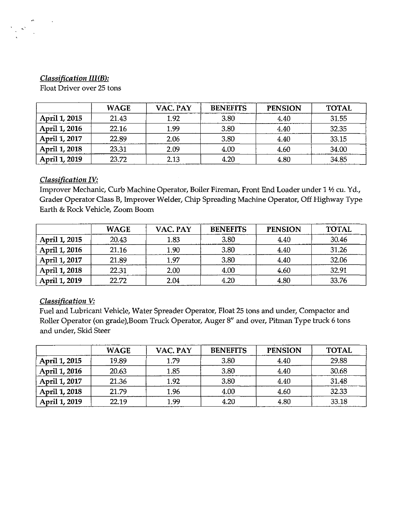# *Classification III(B):*

Float Driver over 25 tons

|               | <b>WAGE</b> | VAC. PAY | <b>BENEFITS</b> | <b>PENSION</b> | <b>TOTAL</b> |
|---------------|-------------|----------|-----------------|----------------|--------------|
| April 1, 2015 | 21.43       | 1.92     | 3.80            | 4.40           | 31.55        |
| April 1, 2016 | 22.16       | 1.99     | 3.80            | 4.40           | 32.35        |
| April 1, 2017 | 22.89       | 2.06     | 3.80            | 4.40           | 33.15        |
| April 1, 2018 | 23.31       | 2.09     | 4.00            | 4.60           | 34.00        |
| April 1, 2019 | 23.72       | 2.13     | 4.20            | 4.80           | 34.85        |

# *Classification IV:*

Improver Mechanic, Curb Machine Operator, Boiler Fireman, Front End Loader under 1 1/2 cu. Yd., Grader Operator Class B, Improver Welder, Chip Spreading Machine Operator, Off Highway Type Earth & Rock Vehicle, Zoom Boom

|               | <b>WAGE</b> | VAC. PAY | <b>BENEFITS</b> | <b>PENSION</b> | <b>TOTAL</b> |
|---------------|-------------|----------|-----------------|----------------|--------------|
| April 1, 2015 | 20.43       | 1.83     | 3.80            | 4.40           | 30.46        |
| April 1, 2016 | 21.16       | 1.90     | 3.80            | 4.40           | 31.26        |
| April 1, 2017 | 21.89       | 1.97     | 3.80            | 4.40           | 32.06        |
| April 1, 2018 | 22.31       | 2.00     | 4.00            | 4.60           | 32.91        |
| April 1, 2019 | 22.72       | 2.04     | 4.20            | 4.80           | 33.76        |

# *Classification V:*

Fuel and Lubricant Vehicle, Water Spreader Operator, Float 25 tons and under, Compactor and Roller Operator (on grade),Boom Truck Operator, Auger 8" and over, Pitman Type truck 6 tons and under, Skid Steer

|               | <b>WAGE</b> | VAC. PAY | <b>BENEFITS</b> | <b>PENSION</b> | <b>TOTAL</b> |
|---------------|-------------|----------|-----------------|----------------|--------------|
| April 1, 2015 | 19.89       | 1.79     | 3.80            | 4.40           | 29.88        |
| April 1, 2016 | 20.63       | 1.85     | 3.80            | 4.40           | 30.68        |
| April 1, 2017 | 21.36       | 1.92     | 3.80            | 4.40           | 31.48        |
| April 1, 2018 | 21.79       | 1.96     | 4.00            | 4.60           | 32.33        |
| April 1, 2019 | 22.19       | 1.99     | 4.20            | 4.80           | 33.18        |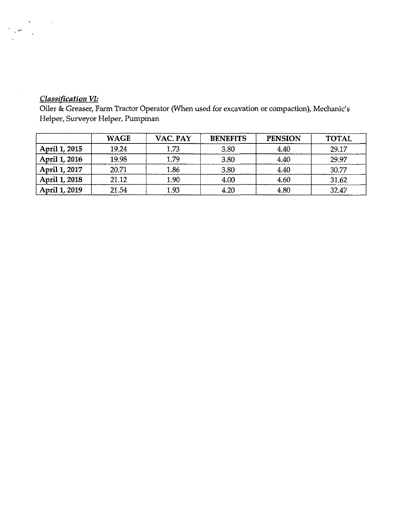# *Classification VI:*

 $\sim$   $\sim$ 

 $\mathbb{R}^3$ 

 $\hat{\mathcal{A}}$ 

Oiler & Greaser, Farm Tractor Operator (When used for excavation or compaction), Mechanic's Helper, Surveyor Helper, Pumpman

|               | <b>WAGE</b> | VAC. PAY | <b>BENEFITS</b> | <b>PENSION</b> | <b>TOTAL</b> |
|---------------|-------------|----------|-----------------|----------------|--------------|
| April 1, 2015 | 19.24       | 1.73     | 3.80            | 4.40           | 29.17        |
| April 1, 2016 | 19.98       | 1.79     | 3.80            | 4.40           | 29.97        |
| April 1, 2017 | 20.71       | 1.86     | 3.80            | 4.40           | 30.77        |
| April 1, 2018 | 21.12       | 1.90     | 4.00            | 4.60           | 31.62        |
| April 1, 2019 | 21.54       | 1.93     | 4.20            | 4.80           | 32.47        |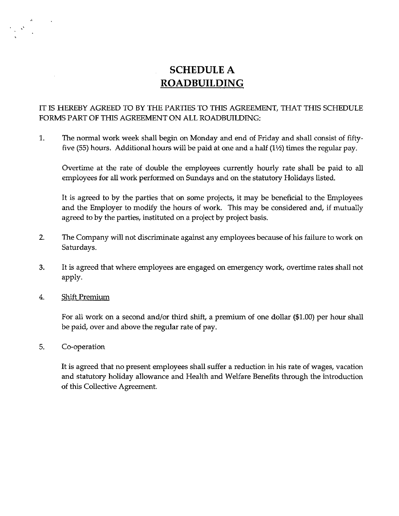# **SCHEDULE** A **ROADBUILDING**

# IT IS HEREBY AGREED TO BY THE PARTIES TO THIS AGREEMENT, THAT THIS SCHEDULE FORMS PART OF THIS AGREEMENT ON ALL ROADBUILDING:

1. The normal work week shall begin on Monday and end of Friday and shall consist of fiftyfive (55) hours. Additional hours will be paid at one and a half  $(1\frac{1}{2})$  times the regular pay.

Overtime at the rate of double the employees currently hourly rate shall be paid to all employees for all work performed on Sundays and on the statutory Holidays listed.

It is agreed to by the parties that on some projects, it may be beneficial to the Employees and the Employer to modify the hours of work. This may be considered and, if mutually agreed to by the parties, instituted on a project by project basis.

- 2. The Company will not discriminate against any employees because of his failure to work on Saturdays.
- 3. It is agreed that where employees are engaged on emergency work, overtime rates shall not apply.
- 4. Shift Premium

For all work on a second and/or third shift, a premium of one dollar (\$1.00) per hour shall be paid, over and above the regular rate of pay.

5. Co-operation

It is agreed that no present employees shall suffer a reduction in his rate of wages, vacation and statutory holiday allowance and Health and Welfare Benefits through the introduction of this Collective Agreement.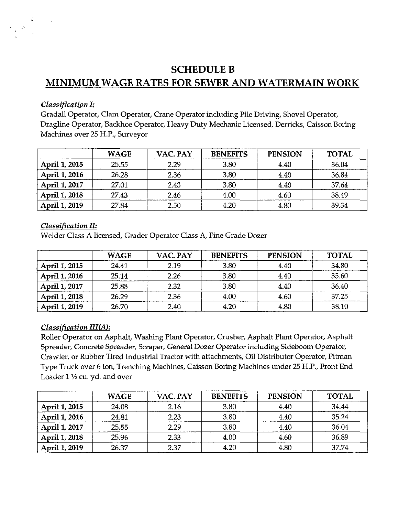# **SCHEDULE B MINIMUM WAGE RATES FOR SEWER AND WATERMAIN WORK**

### *Classification I:*

Gradall Operator, Clam Operator, Crane Operator including Pile Driving, Shovel Operator, Dragline Operator, Backhoe Operator, Heavy Duty Mechanic Licensed, Derricks, Caisson Boring Machines over 25 H.P., Surveyor

|               | <b>WAGE</b> | VAC. PAY | <b>BENEFITS</b> | <b>PENSION</b> | <b>TOTAL</b> |
|---------------|-------------|----------|-----------------|----------------|--------------|
| April 1, 2015 | 25.55       | 2.29     | 3.80            | 4.40           | 36.04        |
| April 1, 2016 | 26.28       | 2.36     | 3.80            | 4.40           | 36.84        |
| April 1, 2017 | 27.01       | 2.43     | 3.80            | 4.40           | 37.64        |
| April 1, 2018 | 27.43       | 2.46     | 4.00            | 4.60           | 38.49        |
| April 1, 2019 | 27.84       | 2.50     | 4.20            | 4.80           | 39.34        |

#### *Classification II:*

Welder Class A licensed, Grader Operator Class A, Fine Grade Dozer

|               | <b>WAGE</b> | VAC. PAY | <b>BENEFITS</b> | <b>PENSION</b> | <b>TOTAL</b> |
|---------------|-------------|----------|-----------------|----------------|--------------|
| April 1, 2015 | 24.41       | 2.19     | 3.80            | 4.40           | 34.80        |
| April 1, 2016 | 25.14       | 2.26     | 3.80            | 4.40           | 35.60        |
| April 1, 2017 | 25.88       | 2.32     | 3.80            | 4.40           | 36.40        |
| April 1, 2018 | 26.29       | 2.36     | 4.00            | 4.60           | 37.25        |
| April 1, 2019 | 26.70       | 2.40     | 4.20            | 4.80           | 38.10        |

# *Classification III(A):*

Roller Operator on Asphalt, Washing Plant Operator, Crusher, Asphalt Plant Operator, Asphalt Spreader, Concrete Spreader, Scraper, General Dozer Operator including Sideboorn Operator, Crawler, or Rubber Tired Industrial Tractor with attachments, Oil Distributor Operator, Pitman Type Truck over 6 ton, Trenching Machines, Caisson Boring Machines under 25 H.P., Front End Loader  $1\frac{1}{2}$  cu. yd. and over

|               | <b>WAGE</b> | VAC. PAY | <b>BENEFITS</b> | <b>PENSION</b> | <b>TOTAL</b> |
|---------------|-------------|----------|-----------------|----------------|--------------|
| April 1, 2015 | 24.08       | 2.16     | 3.80            | 4.40           | 34.44        |
| April 1, 2016 | 24.81       | 2.23     | 3.80            | 4.40           | 35.24        |
| April 1, 2017 | 25.55       | 2.29     | 3.80            | 4.40           | 36.04        |
| April 1, 2018 | 25.96       | 2.33     | 4.00            | 4.60           | 36.89        |
| April 1, 2019 | 26.37       | 2.37     | 4.20            | 4.80           | 37.74        |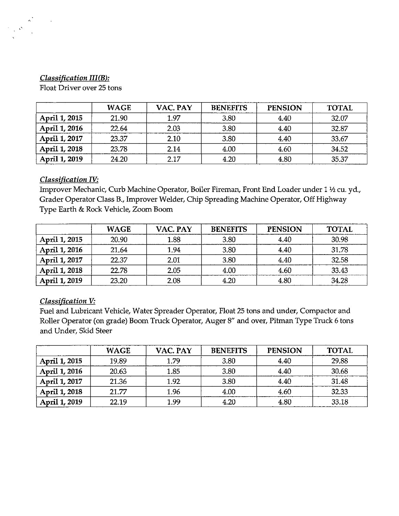### **Classification III(B):**

Float Driver over 25 tons

|               | <b>WAGE</b> | VAC. PAY | <b>BENEFITS</b> | <b>PENSION</b> | <b>TOTAL</b> |
|---------------|-------------|----------|-----------------|----------------|--------------|
| April 1, 2015 | 21.90       | 1.97     | 3.80            | 4.40           | 32.07        |
| April 1, 2016 | 22.64       | 2.03     | 3.80            | 4.40           | 32.87        |
| April 1, 2017 | 23.37       | 2.10     | 3.80            | 4.40           | 33.67        |
| April 1, 2018 | 23.78       | 2.14     | 4.00            | 4.60           | 34.52        |
| April 1, 2019 | 24.20       | 2.17     | 4.20            | 4.80           | 35.37        |

#### *Classification IV:*

Improver Mechanic, Curb Machine Operator, Boiler Fireman, Front End Loader under 1 1/2 cu. yd., Grader Operator Class B., Improver Welder, Chip Spreading Machine Operator, Off Highway Type Earth & Rock Vehicle, Zoom Boom

|               | <b>WAGE</b> | VAC. PAY | <b>BENEFITS</b> | <b>PENSION</b> | <b>TOTAL</b> |
|---------------|-------------|----------|-----------------|----------------|--------------|
| April 1, 2015 | 20.90       | 1.88     | 3.80            | 4.40           | 30.98        |
| April 1, 2016 | 21.64       | 1.94     | 3.80            | 4.40           | 31.78        |
| April 1, 2017 | 22.37       | 2.01     | 3.80            | 4.40           | 32.58        |
| April 1, 2018 | 22.78       | 2.05     | 4.00            | 4.60           | 33.43        |
| April 1, 2019 | 23.20       | 2.08     | 4.20            | 4.80           | 34.28        |

# *Classification V:*

Fuel and Lubricant Vehicle, Water Spreader Operator, Float 25 tons and under, Compactor and Roller Operator (on grade) Boom Truck Operator, Auger 8" and over, Pitman Type Truck 6 tons and Under, Skid Steer

|               | <b>WAGE</b> | VAC. PAY | <b>BENEFITS</b> | <b>PENSION</b> | <b>TOTAL</b> |
|---------------|-------------|----------|-----------------|----------------|--------------|
| April 1, 2015 | 19.89       | 1.79     | 3.80            | 4.40           | 29.88        |
| April 1, 2016 | 20.63       | 1.85     | 3.80            | 4.40           | 30.68        |
| April 1, 2017 | 21.36       | 1.92     | 3.80            | 4.40           | 31.48        |
| April 1, 2018 | 21.77       | 1.96     | 4.00            | 4.60           | 32.33        |
| April 1, 2019 | 22.19       | 1.99     | 4.20            | 4.80           | 33.18        |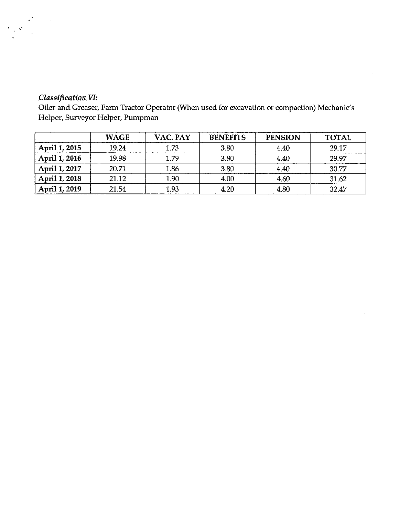# *Classification VI:*

 $\ddot{\phantom{a}}$ 

Oiler and Greaser, Farm Tractor Operator (When used for excavation or compaction) Mechanic's Helper, Surveyor Helper, Pumpman

|               | <b>WAGE</b> | VAC. PAY | <b>BENEFITS</b> | <b>PENSION</b> | <b>TOTAL</b> |
|---------------|-------------|----------|-----------------|----------------|--------------|
| April 1, 2015 | 19.24       | 1.73     | 3.80            | 4.40           | 29.17        |
| April 1, 2016 | 19.98       | 1.79     | 3.80            | 4.40           | 29.97        |
| April 1, 2017 | 20.71       | 1.86     | 3.80            | 4.40           | 30.77        |
| April 1, 2018 | 21.12       | 1.90     | 4.00            | 4.60           | 31.62        |
| April 1, 2019 | 21.54       | 1.93     | 4.20            | 4.80           | 32.47        |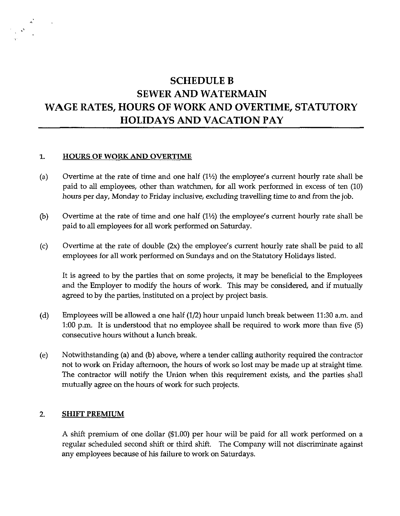# **SCHEDULE B SEWER AND WATERMAIN WAGE RATES, HOURS OF WORK AND OVERTIME, STATUTORY HOLIDAYS AND VACATION PAY**

#### **1. HOURS OF WORK AND OVERTIME**

 $\lambda$ 

- (a) Overtime at the rate of time and one half  $(1/2)$  the employee's current hourly rate shall be paid to all employees, other than watchmen, for all work performed in excess of ten (10) hours per day, Monday to Friday inclusive, excluding travelling time to and from the job.
- (b) Overtime at the rate of time and one half  $(1\frac{1}{2})$  the employee's current hourly rate shall be paid to all employees for all work performed on Saturday.
- (c) Overtime at the rate of double (2x) the employee's current hourly rate shall be paid to all employees for all work performed on Sundays and on the Statutory Holidays listed.

It is agreed to by the parties that on some projects, it may be beneficial to the Employees and the Employer to modify the hours of work. This may be considered, and if mutually agreed to by the parties, instituted on a project by project basis.

- (d) Employees will be allowed a one half (1/2) hour unpaid lunch break between 11:30 a.m. and 1:00 p.m. It is understood that no employee shall be required to work more than five (5) consecutive hours without a lunch break.
- (e) Notwithstanding (a) and (b) above, where a tender calling authority required the contractor not to work on Friday afternoon, the hours of work so lost may be made up at straight time. The contractor will notify the Union when this requirement exists, and the parties shall mutually agree on the hours of work for such projects.

#### 2. **SHIFT PREMIUM**

A shift premium of one dollar (\$1.00) per hour will be paid for all work performed on a regular scheduled second shift or third shift. The Company will not discriminate against any employees because of his failure to work on Saturdays.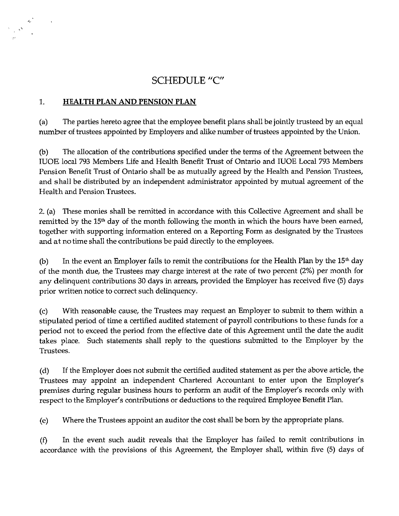# **SCHEDULE** "C"

# 1. **HEALTH PLAN AND PENSION PLAN**

 $\lambda_{\rm r}$ 

 $\sim$ 

(a) The parties hereto agree that the employee benefit plans shall be jointly trusteed by an equal number of trustees appointed by Employers and alike number of trustees appointed by the Union.

(b) The allocation of the contributions specified under the terms of the Agreement between the IUOE local 793 Members Life and Health Benefit Trust of Ontario and IUOE Local 793 Members Pension Benefit Trust of Ontario shall be as mutually agreed by the Health and Pension Trustees, and shall be distributed by an independent administrator appointed by mutual agreement of the Health and Pension Trustees.

2. (a) These monies shall be remitted in accordance with this Collective Agreement and shall be remitted by the  $15<sup>th</sup>$  day of the month following the month in which the hours have been earned, together with supporting information entered on a Reporting Form as designated by the Trustees and at no time shall the contributions be paid directly to the employees.

(b) In the event an Employer fails to remit the contributions for the Health Plan by the  $15<sup>th</sup>$  day of the month due, the Trustees may charge interest at the rate of two percent (2%) per month for any delinquent contributions 30 days in arrears, provided the Employer has received five (5) days prior written notice to correct such delinquency.

(c) With reasonable cause, the Trustees may request an Employer to submit to them within a stipulated period of time a certified audited statement of payroll contributions to these funds for a period not to exceed the period from the effective date of this Agreement until the date the audit takes place. Such statements shall reply to the questions submitted to the Employer by the Trustees.

(d) If the Employer does not submit the certified audited statement as per the above article, the Trustees may appoint an independent Chartered Accountant to enter upon the Employer's premises during regular business hours to perform an audit of the Employer's records only with respect to the Employer's contributions or deductions to the required Employee Benefit Plan.

(e) Where the Trustees appoint an auditor the cost shall be born by the appropriate plans.

(f) In the event such audit reveals that the Employer has failed to remit contributions m accordance with the provisions of this Agreement, the Employer shall, within five (5) days of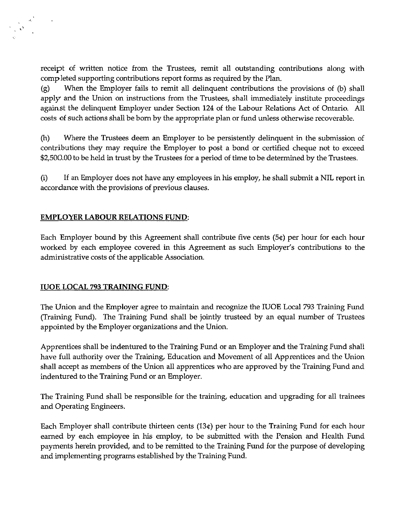receipt of written notice from the Trustees, remit all outstanding contributions along with completed supporting contributions report forms as required by the Plan.

(g) When the Employer fails to remit all delinquent contributions the provisions of (b) shall apply and the Union on instructions from the Trustees, shall immediately institute proceedings against the delinquent Employer under Section 124 of the Labour Relations Act of Ontario. All costs of such actions shall be born by the appropriate plan or fund unless otherwise recoverable.

(h) Where the Trustees deem an Employer to be persistently delinquent in the submission of contributions they may require the Employer to post a bond or certified cheque not to exceed \$2,500.00 to be held in trust by the Trustees for a period of time to be determined by the Trustees.

(i) If an Employer does not have any employees in his employ, he shall submit a NIL report in accordance with the provisions of previous clauses.

# EMPLOYER LABOUR RELATIONS FUND:

Each Employer bound by this Agreement shall contribute five cents (5¢) per hour for each hour worked by each employee covered in this Agreement as such Employer's contributions to the administrative costs of the applicable Association.

# IUOE LOCAL 793 TRAINING FUND:

The Union and the Employer agree to maintain and recognize the IUOE Local 793 Training Fund (Training Fund). The Training Fund shall be jointly trusteed by an equal number of Trustees appointed by the Employer organizations and the Union.

Apprentices shall be indentured to the Training Fund or an Employer and the Training Fund shall have full authority over the Training, Education and Movement of all Apprentices and the Union shall accept as members of the Union all apprentices who are approved by the Training Fund and indentured to the Training Fund or an Employer.

The Training Fund shall be responsible for the training, education and upgrading for all trainees and Operating Engineers.

Each Employer shall contribute thirteen cents (13¢) per hour to the Training Fund for each hour earned by each employee in his employ, to be submitted with the Pension and Health Fund payments herein provided, and to be remitted to the Training Fund for the purpose of developing and implementing programs established by the Training Fund.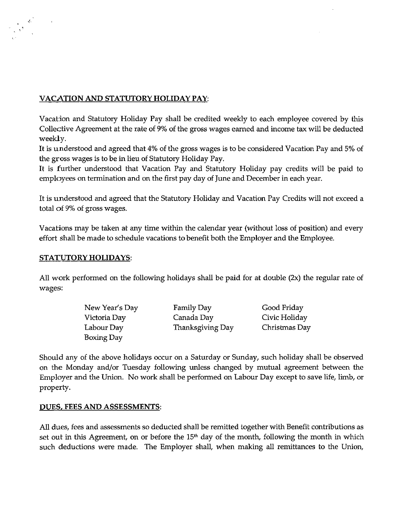# **VACATION AND STATUTORY HOLIDAY PAY:**

Vacation and Statutory Holiday Pay shall be credited weekly to each employee covered by this Collective Agreement at the rate of 9% of the gross wages earned and income tax will be deducted weekly.

It is understood and agreed that 4% of the gross wages is to be considered Vacation Pay and 5% of the gross wages is to be in lieu of Statutory Holiday Pay.

It is further understood that Vacation Pay and Statutory Holiday pay credits will be paid to employees on termination and on the first pay day of June and December in each year.

It is understood and agreed that the Statutory Holiday and Vacation Pay Credits will not exceed a total of 9% of gross wages.

Vacations may be taken at any time within the calendar year (without loss of position) and every effort shall be made to schedule vacations to benefit both the Employer and the Employee.

#### **STATUTORY HOLIDAYS:**

All work performed on the following holidays shall be paid for at double (2x) the regular rate of wages:

| New Year's Day | Family Day       | Good Friday   |
|----------------|------------------|---------------|
| Victoria Day   | Canada Dav       | Civic Holiday |
| Labour Day     | Thanksgiving Day | Christmas Day |
| Boxing Day     |                  |               |

Should any of the above holidays occur on a Saturday or Sunday, such holiday shall be observed on the Monday and/or Tuesday following unless changed by mutual agreement between the Employer and the Union. No work shall be performed on Labour Day except to save life, limb, or property.

# **DUES. FEES AND ASSESSMENTS:**

All dues, fees and assessments so deducted shall be remitted together with Benefit contributions as set out in this Agreement, on or before the  $15<sup>th</sup>$  day of the month, following the month in which such deductions were made. The Employer shall, when making all remittances to the Union,